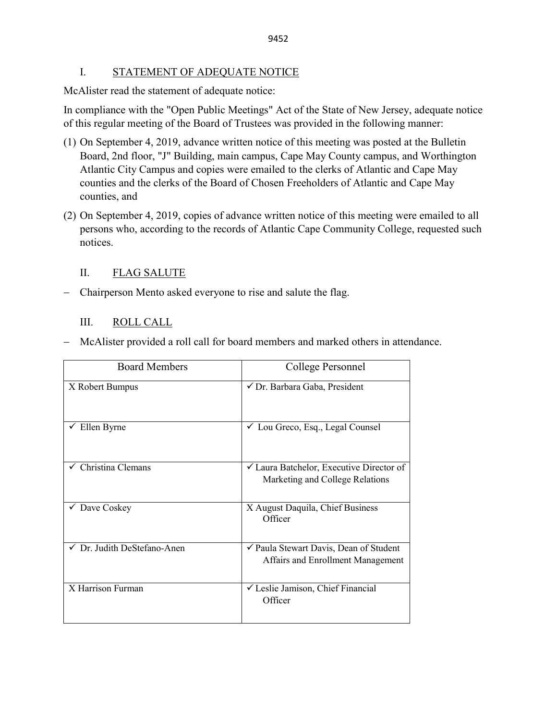### I. STATEMENT OF ADEQUATE NOTICE

McAlister read the statement of adequate notice:

In compliance with the "Open Public Meetings" Act of the State of New Jersey, adequate notice of this regular meeting of the Board of Trustees was provided in the following manner:

- (1) On September 4, 2019, advance written notice of this meeting was posted at the Bulletin Board, 2nd floor, "J" Building, main campus, Cape May County campus, and Worthington Atlantic City Campus and copies were emailed to the clerks of Atlantic and Cape May counties and the clerks of the Board of Chosen Freeholders of Atlantic and Cape May counties, and
- (2) On September 4, 2019, copies of advance written notice of this meeting were emailed to all persons who, according to the records of Atlantic Cape Community College, requested such notices.

## II. FLAG SALUTE

− Chairperson Mento asked everyone to rise and salute the flag.

## III. ROLL CALL

|  |  |  |  |  |  |  |  |  | - McAlister provided a roll call for board members and marked others in attendance. |
|--|--|--|--|--|--|--|--|--|-------------------------------------------------------------------------------------|
|--|--|--|--|--|--|--|--|--|-------------------------------------------------------------------------------------|

| <b>Board Members</b>        | College Personnel                                                                      |
|-----------------------------|----------------------------------------------------------------------------------------|
| X Robert Bumpus             | √ Dr. Barbara Gaba, President                                                          |
| Ellen Byrne                 | $\checkmark$ Lou Greco, Esq., Legal Counsel                                            |
| Christina Clemans           | $\checkmark$ Laura Batchelor, Executive Director of<br>Marketing and College Relations |
| $\checkmark$ Dave Coskey    | X August Daquila, Chief Business<br>Officer                                            |
| √ Dr. Judith DeStefano-Anen | ✔ Paula Stewart Davis, Dean of Student<br>Affairs and Enrollment Management            |
| X Harrison Furman           | └ Leslie Jamison, Chief Financial<br>Officer                                           |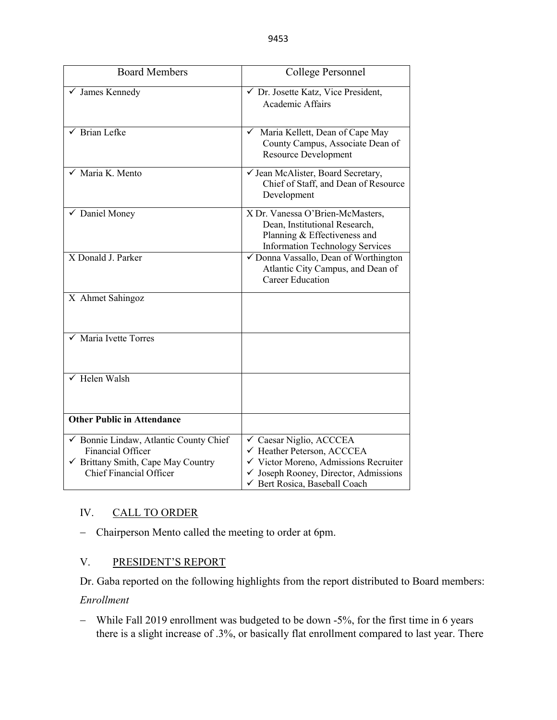| <b>Board Members</b>                                                                                                                | College Personnel                                                                                                                                                                 |
|-------------------------------------------------------------------------------------------------------------------------------------|-----------------------------------------------------------------------------------------------------------------------------------------------------------------------------------|
| $\checkmark$ James Kennedy                                                                                                          | √ Dr. Josette Katz, Vice President,<br>Academic Affairs                                                                                                                           |
| $\sqrt{\phantom{a}}$ Brian Lefke                                                                                                    | √ Maria Kellett, Dean of Cape May<br>County Campus, Associate Dean of<br><b>Resource Development</b>                                                                              |
| $\sqrt{\phantom{a}}$ Maria K. Mento                                                                                                 | √ Jean McAlister, Board Secretary,<br>Chief of Staff, and Dean of Resource<br>Development                                                                                         |
| $\sqrt{\phantom{a}}$ Daniel Money                                                                                                   | X Dr. Vanessa O'Brien-McMasters,<br>Dean, Institutional Research,<br>Planning & Effectiveness and<br><b>Information Technology Services</b>                                       |
| X Donald J. Parker                                                                                                                  | √ Donna Vassallo, Dean of Worthington<br>Atlantic City Campus, and Dean of<br><b>Career Education</b>                                                                             |
| X Ahmet Sahingoz                                                                                                                    |                                                                                                                                                                                   |
| Maria Ivette Torres                                                                                                                 |                                                                                                                                                                                   |
| $\sqrt{\ }$ Helen Walsh                                                                                                             |                                                                                                                                                                                   |
| <b>Other Public in Attendance</b>                                                                                                   |                                                                                                                                                                                   |
| ✔ Bonnie Lindaw, Atlantic County Chief<br>Financial Officer<br>✔ Brittany Smith, Cape May Country<br><b>Chief Financial Officer</b> | √ Caesar Niglio, ACCCEA<br>← Heather Peterson, ACCCEA<br>√ Victor Moreno, Admissions Recruiter<br>$\checkmark$ Joseph Rooney, Director, Admissions<br>Gert Rosica, Baseball Coach |

# IV. CALL TO ORDER

− Chairperson Mento called the meeting to order at 6pm.

# V. PRESIDENT'S REPORT

Dr. Gaba reported on the following highlights from the report distributed to Board members:

*Enrollment*

− While Fall 2019 enrollment was budgeted to be down -5%, for the first time in 6 years there is a slight increase of .3%, or basically flat enrollment compared to last year. There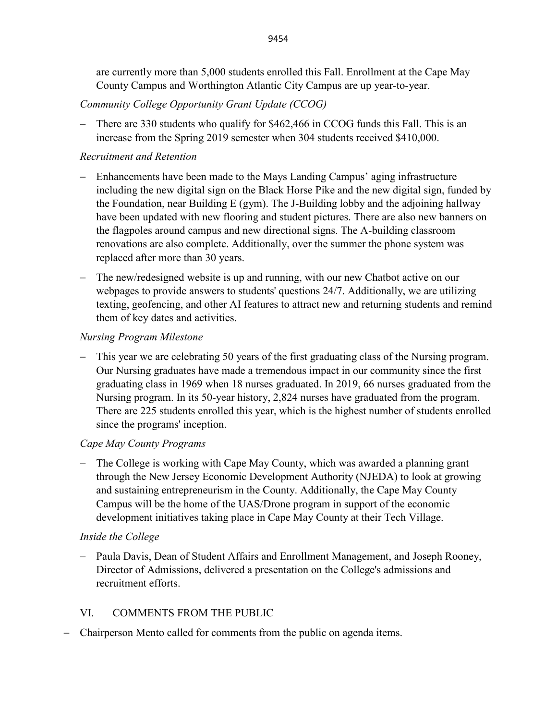are currently more than 5,000 students enrolled this Fall. Enrollment at the Cape May County Campus and Worthington Atlantic City Campus are up year-to-year.

# *Community College Opportunity Grant Update (CCOG)*

There are 330 students who qualify for \$462,466 in CCOG funds this Fall. This is an increase from the Spring 2019 semester when 304 students received \$410,000.

## *Recruitment and Retention*

- − Enhancements have been made to the Mays Landing Campus' aging infrastructure including the new digital sign on the Black Horse Pike and the new digital sign, funded by the Foundation, near Building E (gym). The J-Building lobby and the adjoining hallway have been updated with new flooring and student pictures. There are also new banners on the flagpoles around campus and new directional signs. The A-building classroom renovations are also complete. Additionally, over the summer the phone system was replaced after more than 30 years.
- − The new/redesigned website is up and running, with our new Chatbot active on our webpages to provide answers to students' questions 24/7. Additionally, we are utilizing texting, geofencing, and other AI features to attract new and returning students and remind them of key dates and activities.

## *Nursing Program Milestone*

This year we are celebrating 50 years of the first graduating class of the Nursing program. Our Nursing graduates have made a tremendous impact in our community since the first graduating class in 1969 when 18 nurses graduated. In 2019, 66 nurses graduated from the Nursing program. In its 50-year history, 2,824 nurses have graduated from the program. There are 225 students enrolled this year, which is the highest number of students enrolled since the programs' inception.

# *Cape May County Programs*

The College is working with Cape May County, which was awarded a planning grant through the New Jersey Economic Development Authority (NJEDA) to look at growing and sustaining entrepreneurism in the County. Additionally, the Cape May County Campus will be the home of the UAS/Drone program in support of the economic development initiatives taking place in Cape May County at their Tech Village.

# *Inside the College*

− Paula Davis, Dean of Student Affairs and Enrollment Management, and Joseph Rooney, Director of Admissions, delivered a presentation on the College's admissions and recruitment efforts.

# VI. COMMENTS FROM THE PUBLIC

− Chairperson Mento called for comments from the public on agenda items.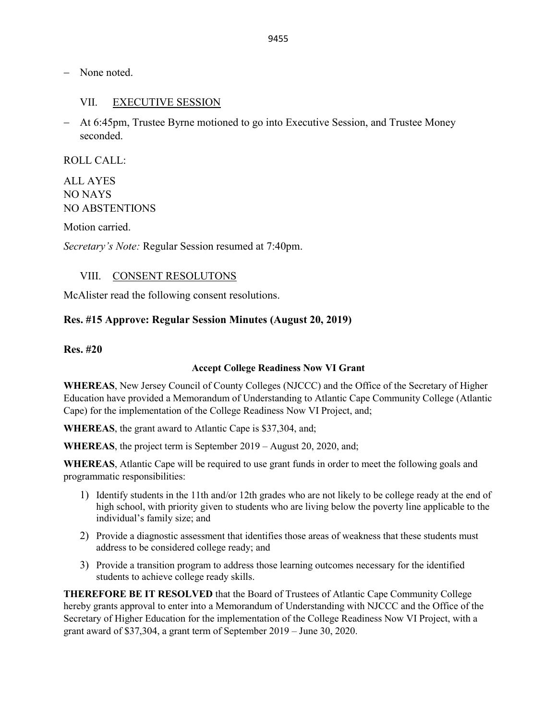− None noted.

### VII. EXECUTIVE SESSION

− At 6:45pm, Trustee Byrne motioned to go into Executive Session, and Trustee Money seconded.

ROLL CALL:

ALL AYES NO NAYS NO ABSTENTIONS

Motion carried.

*Secretary's Note:* Regular Session resumed at 7:40pm.

#### VIII. CONSENT RESOLUTONS

McAlister read the following consent resolutions.

#### **Res. #15 Approve: Regular Session Minutes (August 20, 2019)**

#### **Res. #20**

#### **Accept College Readiness Now VI Grant**

**WHEREAS**, New Jersey Council of County Colleges (NJCCC) and the Office of the Secretary of Higher Education have provided a Memorandum of Understanding to Atlantic Cape Community College (Atlantic Cape) for the implementation of the College Readiness Now VI Project, and;

**WHEREAS**, the grant award to Atlantic Cape is \$37,304, and;

**WHEREAS**, the project term is September 2019 – August 20, 2020, and;

**WHEREAS**, Atlantic Cape will be required to use grant funds in order to meet the following goals and programmatic responsibilities:

- 1) Identify students in the 11th and/or 12th grades who are not likely to be college ready at the end of high school, with priority given to students who are living below the poverty line applicable to the individual's family size; and
- 2) Provide a diagnostic assessment that identifies those areas of weakness that these students must address to be considered college ready; and
- 3) Provide a transition program to address those learning outcomes necessary for the identified students to achieve college ready skills.

**THEREFORE BE IT RESOLVED** that the Board of Trustees of Atlantic Cape Community College hereby grants approval to enter into a Memorandum of Understanding with NJCCC and the Office of the Secretary of Higher Education for the implementation of the College Readiness Now VI Project, with a grant award of \$37,304, a grant term of September 2019 – June 30, 2020.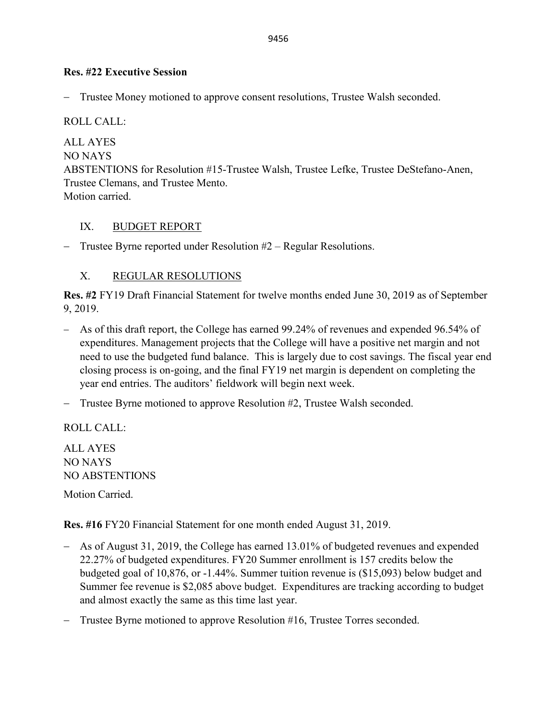## **Res. #22 Executive Session**

− Trustee Money motioned to approve consent resolutions, Trustee Walsh seconded.

ROLL CALL:

ALL AYES NO NAYS ABSTENTIONS for Resolution #15-Trustee Walsh, Trustee Lefke, Trustee DeStefano-Anen, Trustee Clemans, and Trustee Mento. Motion carried.

## IX. BUDGET REPORT

− Trustee Byrne reported under Resolution #2 – Regular Resolutions.

# X. REGULAR RESOLUTIONS

**Res. #2** FY19 Draft Financial Statement for twelve months ended June 30, 2019 as of September 9, 2019.

- − As of this draft report, the College has earned 99.24% of revenues and expended 96.54% of expenditures. Management projects that the College will have a positive net margin and not need to use the budgeted fund balance. This is largely due to cost savings. The fiscal year end closing process is on-going, and the final FY19 net margin is dependent on completing the year end entries. The auditors' fieldwork will begin next week.
- − Trustee Byrne motioned to approve Resolution #2, Trustee Walsh seconded.

ROLL CALL:

ALL AYES NO NAYS NO ABSTENTIONS

Motion Carried.

**Res. #16** FY20 Financial Statement for one month ended August 31, 2019.

- − As of August 31, 2019, the College has earned 13.01% of budgeted revenues and expended 22.27% of budgeted expenditures. FY20 Summer enrollment is 157 credits below the budgeted goal of 10,876, or -1.44%. Summer tuition revenue is (\$15,093) below budget and Summer fee revenue is \$2,085 above budget. Expenditures are tracking according to budget and almost exactly the same as this time last year.
- − Trustee Byrne motioned to approve Resolution #16, Trustee Torres seconded.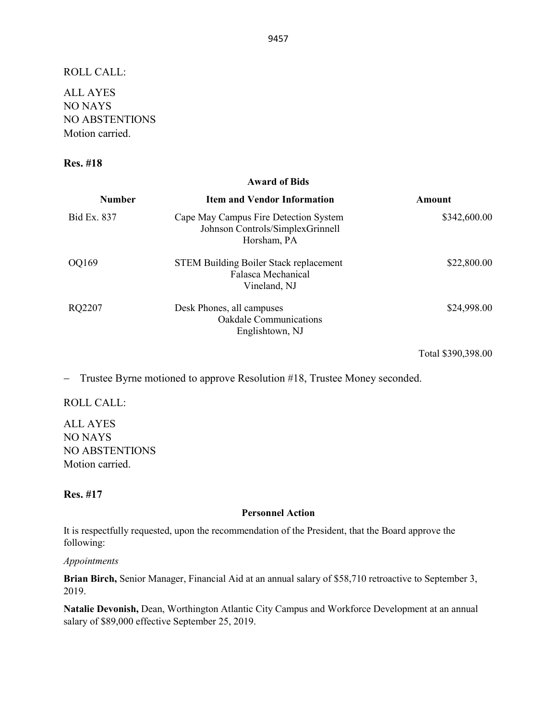ROLL CALL:

ALL AYES NO NAYS NO ABSTENTIONS Motion carried.

#### **Res. #18**

### **Award of Bids Number Item and Vendor Information Amount** Bid Ex. 837 Cape May Campus Fire Detection System Johnson Controls/SimplexGrinnell Horsham, PA \$342,600.00 OQ169 STEM Building Boiler Stack replacement Falasca Mechanical Vineland, NJ \$22,800.00 RQ2207 Desk Phones, all campuses Oakdale Communications Englishtown, NJ \$24,998.00

Total \$390,398.00

− Trustee Byrne motioned to approve Resolution #18, Trustee Money seconded.

ROLL CALL:

ALL AYES NO NAYS NO ABSTENTIONS Motion carried.

### **Res. #17**

#### **Personnel Action**

It is respectfully requested, upon the recommendation of the President, that the Board approve the following:

*Appointments*

**Brian Birch,** Senior Manager, Financial Aid at an annual salary of \$58,710 retroactive to September 3, 2019.

**Natalie Devonish,** Dean, Worthington Atlantic City Campus and Workforce Development at an annual salary of \$89,000 effective September 25, 2019.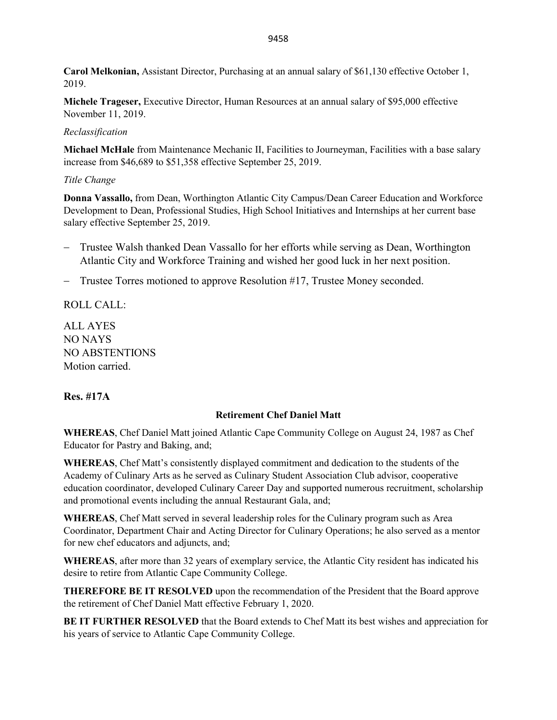**Carol Melkonian,** Assistant Director, Purchasing at an annual salary of \$61,130 effective October 1, 2019.

**Michele Trageser,** Executive Director, Human Resources at an annual salary of \$95,000 effective November 11, 2019.

#### *Reclassification*

**Michael McHale** from Maintenance Mechanic II, Facilities to Journeyman, Facilities with a base salary increase from \$46,689 to \$51,358 effective September 25, 2019.

### *Title Change*

**Donna Vassallo,** from Dean, Worthington Atlantic City Campus/Dean Career Education and Workforce Development to Dean, Professional Studies, High School Initiatives and Internships at her current base salary effective September 25, 2019.

- − Trustee Walsh thanked Dean Vassallo for her efforts while serving as Dean, Worthington Atlantic City and Workforce Training and wished her good luck in her next position.
- − Trustee Torres motioned to approve Resolution #17, Trustee Money seconded.

ROLL CALL:

ALL AYES NO NAYS NO ABSTENTIONS Motion carried.

### **Res. #17A**

### **Retirement Chef Daniel Matt**

**WHEREAS**, Chef Daniel Matt joined Atlantic Cape Community College on August 24, 1987 as Chef Educator for Pastry and Baking, and;

**WHEREAS**, Chef Matt's consistently displayed commitment and dedication to the students of the Academy of Culinary Arts as he served as Culinary Student Association Club advisor, cooperative education coordinator, developed Culinary Career Day and supported numerous recruitment, scholarship and promotional events including the annual Restaurant Gala, and;

**WHEREAS**, Chef Matt served in several leadership roles for the Culinary program such as Area Coordinator, Department Chair and Acting Director for Culinary Operations; he also served as a mentor for new chef educators and adjuncts, and;

**WHEREAS**, after more than 32 years of exemplary service, the Atlantic City resident has indicated his desire to retire from Atlantic Cape Community College.

**THEREFORE BE IT RESOLVED** upon the recommendation of the President that the Board approve the retirement of Chef Daniel Matt effective February 1, 2020.

**BE IT FURTHER RESOLVED** that the Board extends to Chef Matt its best wishes and appreciation for his years of service to Atlantic Cape Community College.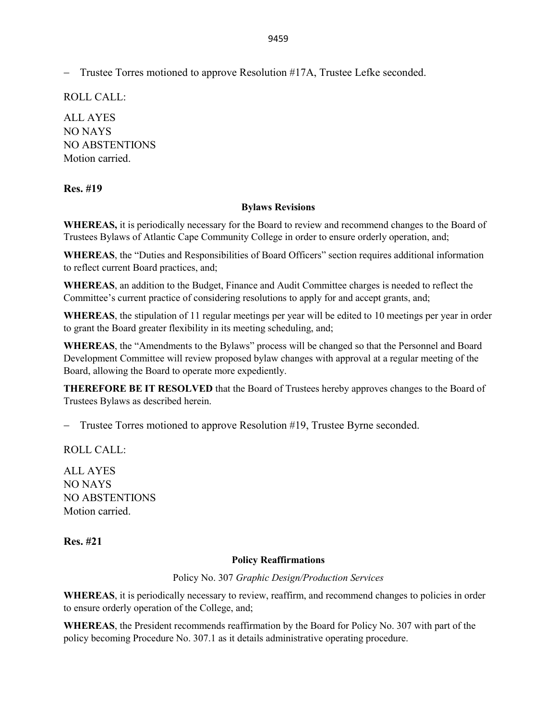− Trustee Torres motioned to approve Resolution #17A, Trustee Lefke seconded.

ROLL CALL:

ALL AYES NO NAYS NO ABSTENTIONS Motion carried.

## **Res. #19**

### **Bylaws Revisions**

**WHEREAS,** it is periodically necessary for the Board to review and recommend changes to the Board of Trustees Bylaws of Atlantic Cape Community College in order to ensure orderly operation, and;

**WHEREAS**, the "Duties and Responsibilities of Board Officers" section requires additional information to reflect current Board practices, and;

**WHEREAS**, an addition to the Budget, Finance and Audit Committee charges is needed to reflect the Committee's current practice of considering resolutions to apply for and accept grants, and;

**WHEREAS**, the stipulation of 11 regular meetings per year will be edited to 10 meetings per year in order to grant the Board greater flexibility in its meeting scheduling, and;

**WHEREAS**, the "Amendments to the Bylaws" process will be changed so that the Personnel and Board Development Committee will review proposed bylaw changes with approval at a regular meeting of the Board, allowing the Board to operate more expediently.

**THEREFORE BE IT RESOLVED** that the Board of Trustees hereby approves changes to the Board of Trustees Bylaws as described herein.

− Trustee Torres motioned to approve Resolution #19, Trustee Byrne seconded.

ROLL CALL:

ALL AYES NO NAYS NO ABSTENTIONS Motion carried.

### **Res. #21**

### **Policy Reaffirmations**

Policy No. 307 *Graphic Design/Production Services*

**WHEREAS**, it is periodically necessary to review, reaffirm, and recommend changes to policies in order to ensure orderly operation of the College, and;

**WHEREAS**, the President recommends reaffirmation by the Board for Policy No. 307 with part of the policy becoming Procedure No. 307.1 as it details administrative operating procedure.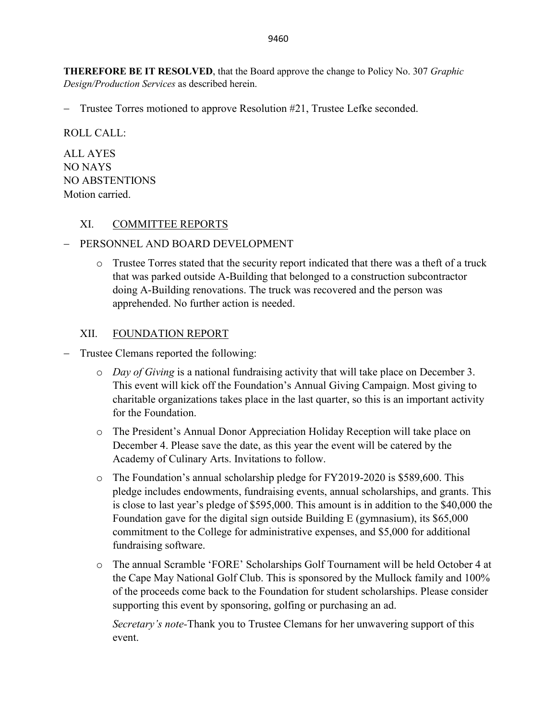**THEREFORE BE IT RESOLVED**, that the Board approve the change to Policy No. 307 *Graphic Design/Production Services* as described herein.

− Trustee Torres motioned to approve Resolution #21, Trustee Lefke seconded.

ROLL CALL:

ALL AYES NO NAYS NO ABSTENTIONS Motion carried.

## XI. COMMITTEE REPORTS

### − PERSONNEL AND BOARD DEVELOPMENT

 $\circ$  Trustee Torres stated that the security report indicated that there was a theft of a truck that was parked outside A-Building that belonged to a construction subcontractor doing A-Building renovations. The truck was recovered and the person was apprehended. No further action is needed.

## XII. FOUNDATION REPORT

- − Trustee Clemans reported the following:
	- o *Day of Giving* is a national fundraising activity that will take place on December 3. This event will kick off the Foundation's Annual Giving Campaign. Most giving to charitable organizations takes place in the last quarter, so this is an important activity for the Foundation.
	- o The President's Annual Donor Appreciation Holiday Reception will take place on December 4. Please save the date, as this year the event will be catered by the Academy of Culinary Arts. Invitations to follow.
	- o The Foundation's annual scholarship pledge for FY2019-2020 is \$589,600. This pledge includes endowments, fundraising events, annual scholarships, and grants. This is close to last year's pledge of \$595,000. This amount is in addition to the \$40,000 the Foundation gave for the digital sign outside Building E (gymnasium), its \$65,000 commitment to the College for administrative expenses, and \$5,000 for additional fundraising software.
	- o The annual Scramble 'FORE' Scholarships Golf Tournament will be held October 4 at the Cape May National Golf Club. This is sponsored by the Mullock family and 100% of the proceeds come back to the Foundation for student scholarships. Please consider supporting this event by sponsoring, golfing or purchasing an ad.

*Secretary's note-*Thank you to Trustee Clemans for her unwavering support of this event.